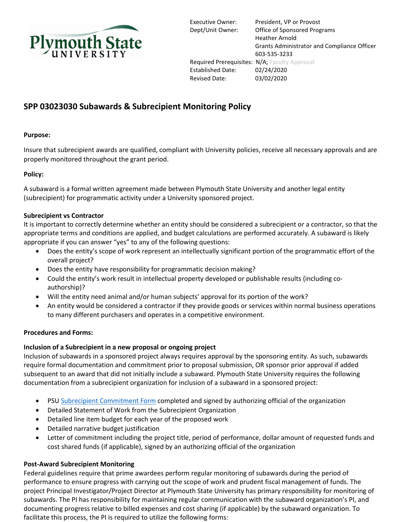

Executive Owner: President, VP or Provost Dept/Unit Owner: Office of Sponsored Programs Heather Arnold Grants Administrator and Compliance Officer 603-535-3233 Required Prerequisites: N/A; Faculty Approval Established Date: 02/24/2020 Revised Date: 03/02/2020

# **SPP 03023030 Subawards & Subrecipient Monitoring Policy**

## **Purpose:**

Insure that subrecipient awards are qualified, compliant with University policies, receive all necessary approvals and are properly monitored throughout the grant period.

### **Policy:**

A subaward is a formal written agreement made between Plymouth State University and another legal entity (subrecipient) for programmatic activity under a University sponsored project.

#### **Subrecipient vs Contractor**

It is important to correctly determine whether an entity should be considered a subrecipient or a contractor, so that the appropriate terms and conditions are applied, and budget calculations are performed accurately. A subaward is likely appropriate if you can answer "yes" to any of the following questions:

- Does the entity's scope of work represent an intellectually significant portion of the programmatic effort of the overall project?
- Does the entity have responsibility for programmatic decision making?
- Could the entity's work result in intellectual property developed or publishable results (including coauthorship)?
- Will the entity need animal and/or human subjects' approval for its portion of the work?
- An entity would be considered a contractor if they provide goods or services within normal business operations to many different purchasers and operates in a competitive environment.

#### **Procedures and Forms:**

#### **Inclusion of a Subrecipient in a new proposal or ongoing project**

Inclusion of subawards in a sponsored project always requires approval by the sponsoring entity. As such, subawards require formal documentation and commitment prior to proposal submission, OR sponsor prior approval if added subsequent to an award that did not initially include a subaward. Plymouth State University requires the following documentation from a subrecipient organization for inclusion of a subaward in a sponsored project:

- PSU [Subrecipient Commitment Form](https://campus.plymouth.edu/research-administration/wp-content/uploads/sites/38/2018/02/PSU_Subrecipient_Commitment_Form.pdf) completed and signed by authorizing official of the organization
- Detailed Statement of Work from the Subrecipient Organization
- Detailed line item budget for each year of the proposed work
- Detailed narrative budget justification
- Letter of commitment including the project title, period of performance, dollar amount of requested funds and cost shared funds (if applicable), signed by an authorizing official of the organization

#### **Post‐Award Subrecipient Monitoring**

Federal guidelines require that prime awardees perform regular monitoring of subawards during the period of performance to ensure progress with carrying out the scope of work and prudent fiscal management of funds. The project Principal Investigator/Project Director at Plymouth State University has primary responsibility for monitoring of subawards. The PI has responsibility for maintaining regular communication with the subaward organization's PI, and documenting progress relative to billed expenses and cost sharing (if applicable) by the subaward organization. To facilitate this process, the PI is required to utilize the following forms: